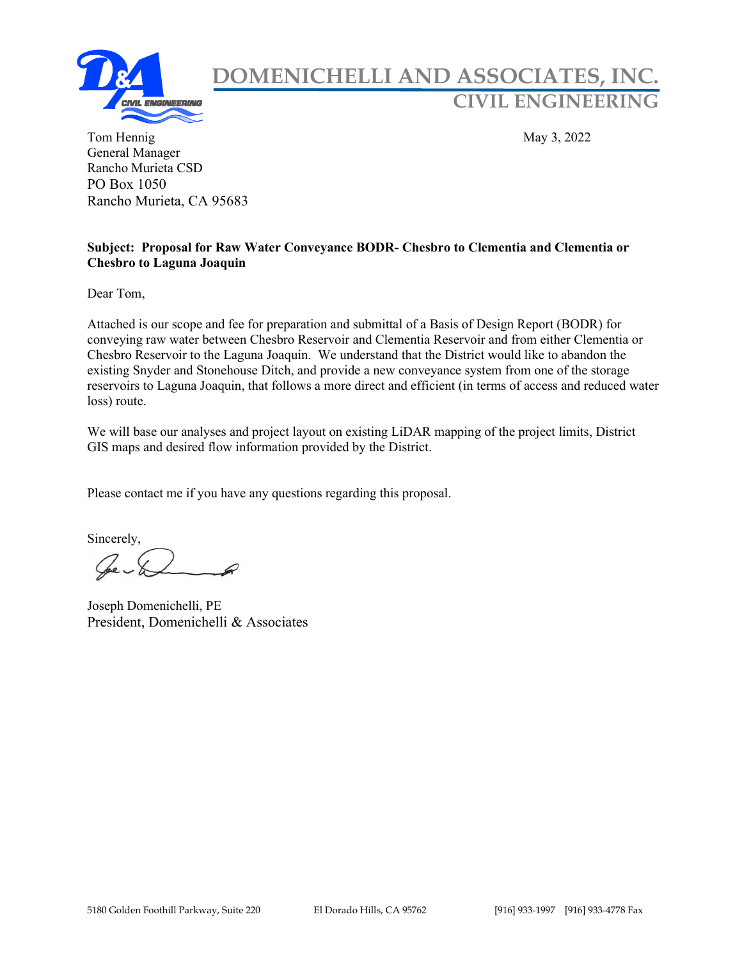

## DOMENICHELLI AND ASSOCIATES, INC. CIVIL ENGINEERING

Tom Hennig May 3, 2022 General Manager Rancho Murieta CSD PO Box 1050 Rancho Murieta, CA 95683

#### Subject: Proposal for Raw Water Conveyance BODR- Chesbro to Clementia and Clementia or Chesbro to Laguna Joaquin

Dear Tom,

Attached is our scope and fee for preparation and submittal of a Basis of Design Report (BODR) for conveying raw water between Chesbro Reservoir and Clementia Reservoir and from either Clementia or Chesbro Reservoir to the Laguna Joaquin. We understand that the District would like to abandon the existing Snyder and Stonehouse Ditch, and provide a new conveyance system from one of the storage reservoirs to Laguna Joaquin, that follows a more direct and efficient (in terms of access and reduced water loss) route.

We will base our analyses and project layout on existing LiDAR mapping of the project limits, District GIS maps and desired flow information provided by the District.

Please contact me if you have any questions regarding this proposal.

Sincerely,

Joseph Domenichelli, PE President, Domenichelli & Associates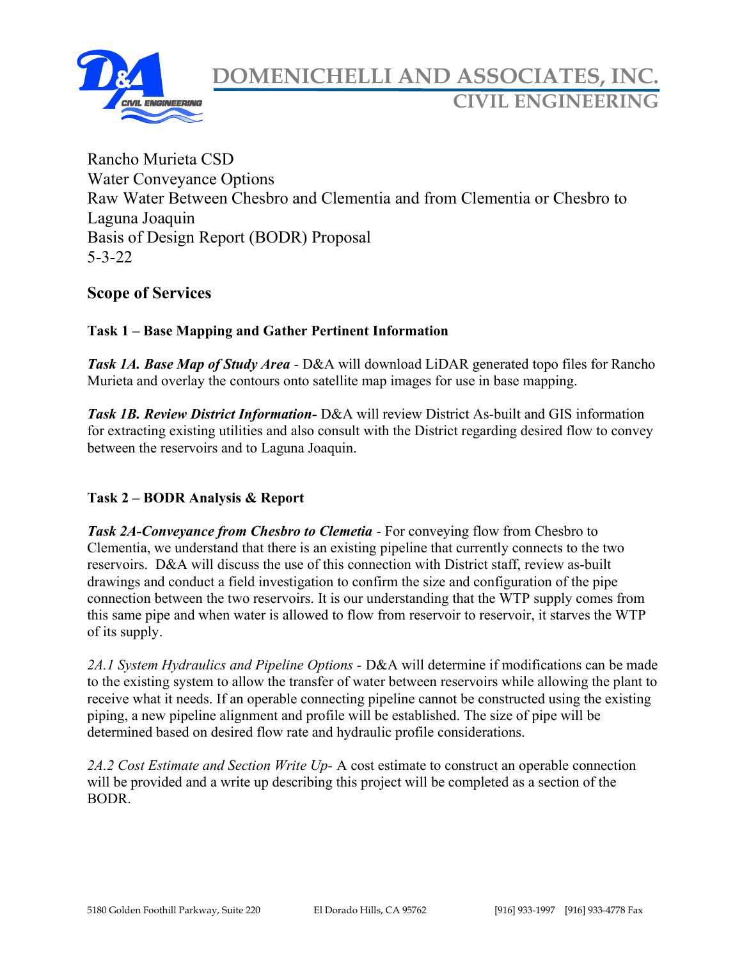

Rancho Murieta CSD Water Conveyance Options Raw Water Between Chesbro and Clementia and from Clementia or Chesbro to Laguna Joaquin Basis of Design Report (BODR) Proposal 5-3-22

### Scope of Services

#### Task 1 – Base Mapping and Gather Pertinent Information

Task 1A. Base Map of Study Area - D&A will download LiDAR generated topo files for Rancho Murieta and overlay the contours onto satellite map images for use in base mapping.

Task 1B. Review District Information- D&A will review District As-built and GIS information for extracting existing utilities and also consult with the District regarding desired flow to convey between the reservoirs and to Laguna Joaquin.

#### Task 2 – BODR Analysis & Report

Task 2A-Conveyance from Chesbro to Clemetia - For conveying flow from Chesbro to Clementia, we understand that there is an existing pipeline that currently connects to the two reservoirs. D&A will discuss the use of this connection with District staff, review as-built drawings and conduct a field investigation to confirm the size and configuration of the pipe connection between the two reservoirs. It is our understanding that the WTP supply comes from this same pipe and when water is allowed to flow from reservoir to reservoir, it starves the WTP of its supply.

2A.1 System Hydraulics and Pipeline Options - D&A will determine if modifications can be made to the existing system to allow the transfer of water between reservoirs while allowing the plant to receive what it needs. If an operable connecting pipeline cannot be constructed using the existing piping, a new pipeline alignment and profile will be established. The size of pipe will be determined based on desired flow rate and hydraulic profile considerations.

2A.2 Cost Estimate and Section Write Up- A cost estimate to construct an operable connection will be provided and a write up describing this project will be completed as a section of the BODR.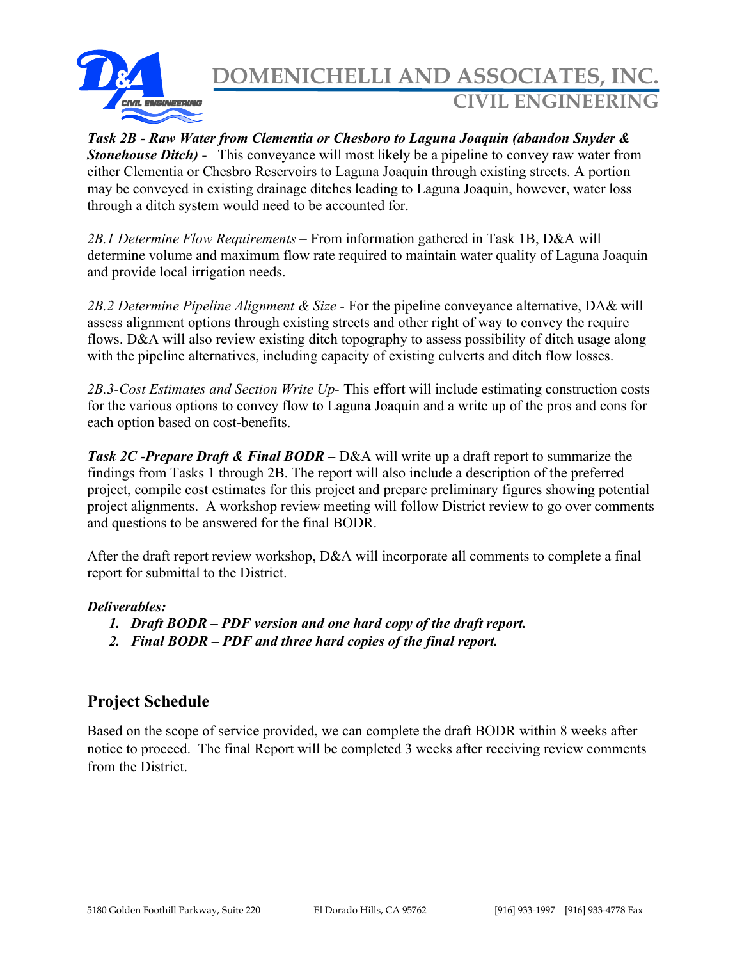

# DOMENICHELLI AND ASSOCIATES, INC. CIVIL ENGINEERING

Task 2B - Raw Water from Clementia or Chesboro to Laguna Joaquin (abandon Snyder & **Stonehouse Ditch)** - This conveyance will most likely be a pipeline to convey raw water from either Clementia or Chesbro Reservoirs to Laguna Joaquin through existing streets. A portion may be conveyed in existing drainage ditches leading to Laguna Joaquin, however, water loss through a ditch system would need to be accounted for.

2B.1 Determine Flow Requirements – From information gathered in Task 1B, D&A will determine volume and maximum flow rate required to maintain water quality of Laguna Joaquin and provide local irrigation needs.

2B.2 Determine Pipeline Alignment & Size - For the pipeline conveyance alternative, DA& will assess alignment options through existing streets and other right of way to convey the require flows. D&A will also review existing ditch topography to assess possibility of ditch usage along with the pipeline alternatives, including capacity of existing culverts and ditch flow losses.

2B.3-Cost Estimates and Section Write Up- This effort will include estimating construction costs for the various options to convey flow to Laguna Joaquin and a write up of the pros and cons for each option based on cost-benefits.

**Task 2C** - Prepare Draft & Final BODR – D&A will write up a draft report to summarize the findings from Tasks 1 through 2B. The report will also include a description of the preferred project, compile cost estimates for this project and prepare preliminary figures showing potential project alignments. A workshop review meeting will follow District review to go over comments and questions to be answered for the final BODR.

After the draft report review workshop, D&A will incorporate all comments to complete a final report for submittal to the District.

#### Deliverables:

- 1. Draft BODR PDF version and one hard copy of the draft report.
- 2. Final BODR PDF and three hard copies of the final report.

### Project Schedule

Based on the scope of service provided, we can complete the draft BODR within 8 weeks after notice to proceed. The final Report will be completed 3 weeks after receiving review comments from the District.